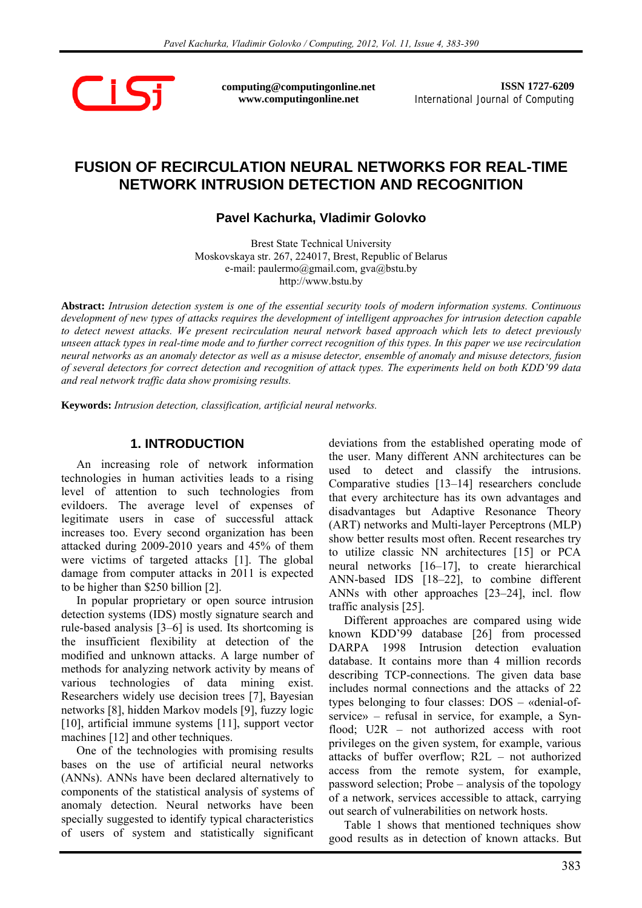

**computing@computingonline.net www.computingonline.net**

**ISSN 1727-6209** International Journal of Computing

# **FUSION OF RECIRCULATION NEURAL NETWORKS FOR REAL-TIME NETWORK INTRUSION DETECTION AND RECOGNITION**

## **Pavel Kachurka, Vladimir Golovko**

Brest State Technical University Moskovskaya str. 267, 224017, Brest, Republic of Belarus e-mail: paulermo@gmail.com, gva@bstu.by http://www.bstu.by

**Abstract:** *Intrusion detection system is one of the essential security tools of modern information systems. Continuous development of new types of attacks requires the development of intelligent approaches for intrusion detection capable to detect newest attacks. We present recirculation neural network based approach which lets to detect previously unseen attack types in real-time mode and to further correct recognition of this types. In this paper we use recirculation neural networks as an anomaly detector as well as a misuse detector, ensemble of anomaly and misuse detectors, fusion of several detectors for correct detection and recognition of attack types. The experiments held on both KDD'99 data and real network traffic data show promising results.* 

**Keywords:** *Intrusion detection, classification, artificial neural networks.* 

### **1. INTRODUCTION**

An increasing role of network information technologies in human activities leads to a rising level of attention to such technologies from evildoers. The average level of expenses of legitimate users in case of successful attack increases too. Every second organization has been attacked during 2009-2010 years and 45% of them were victims of targeted attacks [1]. The global damage from computer attacks in 2011 is expected to be higher than \$250 billion [2].

In popular proprietary or open source intrusion detection systems (IDS) mostly signature search and rule-based analysis [3–6] is used. Its shortcoming is the insufficient flexibility at detection of the modified and unknown attacks. A large number of methods for analyzing network activity by means of various technologies of data mining exist. Researchers widely use decision trees [7], Bayesian networks [8], hidden Markov models [9], fuzzy logic [10], artificial immune systems [11], support vector machines [12] and other techniques.

One of the technologies with promising results bases on the use of artificial neural networks (ANNs). ANNs have been declared alternatively to components of the statistical analysis of systems of anomaly detection. Neural networks have been specially suggested to identify typical characteristics of users of system and statistically significant

deviations from the established operating mode of the user. Many different ANN architectures can be used to detect and classify the intrusions. Comparative studies [13–14] researchers conclude that every architecture has its own advantages and disadvantages but Adaptive Resonance Theory (ART) networks and Multi-layer Perceptrons (MLP) show better results most often. Recent researches try to utilize classic NN architectures [15] or PCA neural networks [16–17], to create hierarchical ANN-based IDS [18–22], to combine different ANNs with other approaches [23–24], incl. flow traffic analysis [25].

Different approaches are compared using wide known KDD'99 database [26] from processed DARPA 1998 Intrusion detection evaluation database. It contains more than 4 million records describing TCP-connections. The given data base includes normal connections and the attacks of 22 types belonging to four classes: DOS – «denial-ofservice» – refusal in service, for example, a Synflood; U2R – not authorized access with root privileges on the given system, for example, various attacks of buffer overflow; R2L – not authorized access from the remote system, for example, password selection; Probe – analysis of the topology of a network, services accessible to attack, carrying out search of vulnerabilities on network hosts.

Table 1 shows that mentioned techniques show good results as in detection of known attacks. But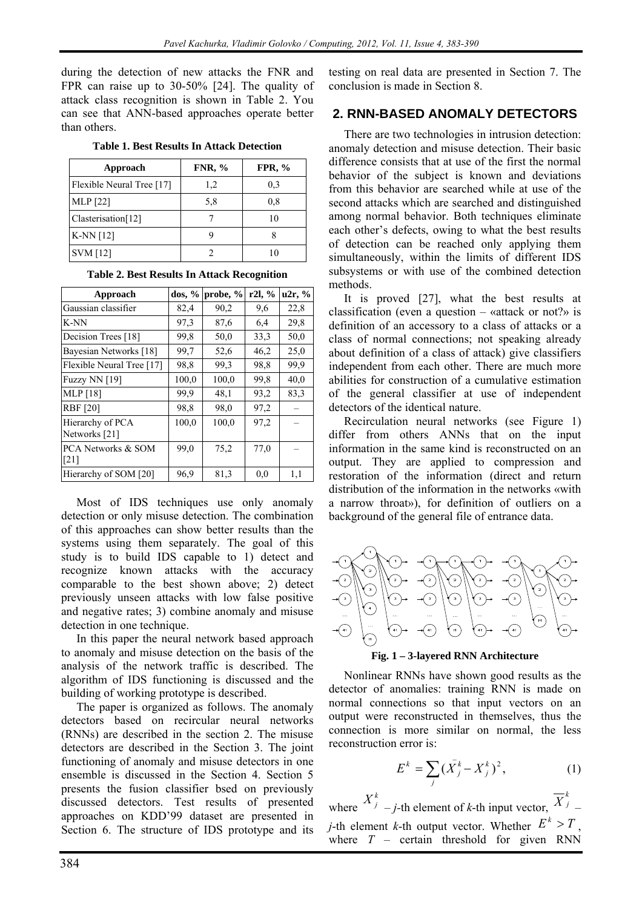during the detection of new attacks the FNR and FPR can raise up to 30-50% [24]. The quality of attack class recognition is shown in Table 2. You can see that ANN-based approaches operate better than others.

|  | <b>Table 1. Best Results In Attack Detection</b> |
|--|--------------------------------------------------|
|--|--------------------------------------------------|

| Approach                  | <b>FNR, %</b> | FPR, $%$ |
|---------------------------|---------------|----------|
| Flexible Neural Tree [17] | 1,2           | 0,3      |
| MLP [22]                  | 5,8           | 0,8      |
| Clasterisation[12]        |               | 10       |
| K-NN $[12]$               |               |          |
| <b>SVM</b> [12]           |               |          |

| Approach                                 | $\cos, \frac{\pi}{6}$ | probe, $%$ | r2l, % | u2r, % |
|------------------------------------------|-----------------------|------------|--------|--------|
| Gaussian classifier                      | 82,4                  | 90,2       | 9,6    | 22,8   |
| K-NN                                     | 97,3                  | 87,6       | 6,4    | 29,8   |
| Decision Trees [18]                      | 99,8                  | 50,0       | 33,3   | 50,0   |
| Bayesian Networks [18]                   | 99,7                  | 52,6       | 46,2   | 25,0   |
| Flexible Neural Tree [17]                | 98.8                  | 99.3       | 98,8   | 99.9   |
| Fuzzy NN [19]                            | 100,0                 | 100,0      | 99.8   | 40,0   |
| <b>MLP</b> [18]                          | 99.9                  | 48,1       | 93,2   | 83,3   |
| <b>RBF</b> [20]                          | 98.8                  | 98,0       | 97,2   |        |
| Hierarchy of PCA<br>Networks [21]        | 100,0                 | 100,0      | 97,2   |        |
| PCA Networks & SOM<br>$\lceil 21 \rceil$ | 99,0                  | 75,2       | 77,0   |        |
| Hierarchy of SOM [20]                    | 96.9                  | 81,3       | 0.0    | 1,1    |

**Table 2. Best Results In Attack Recognition** 

Most of IDS techniques use only anomaly detection or only misuse detection. The combination of this approaches can show better results than the systems using them separately. The goal of this study is to build IDS capable to 1) detect and recognize known attacks with the accuracy comparable to the best shown above; 2) detect previously unseen attacks with low false positive and negative rates; 3) combine anomaly and misuse detection in one technique.

In this paper the neural network based approach to anomaly and misuse detection on the basis of the analysis of the network traffic is described. The algorithm of IDS functioning is discussed and the building of working prototype is described.

The paper is organized as follows. The anomaly detectors based on recircular neural networks (RNNs) are described in the section 2. The misuse detectors are described in the Section 3. The joint functioning of anomaly and misuse detectors in one ensemble is discussed in the Section 4. Section 5. presents the fusion classifier bsed on previously discussed detectors. Test results of presented approaches on KDD'99 dataset are presented in Section 6. The structure of IDS prototype and its testing on real data are presented in Section 7. The conclusion is made in Section 8.

## **2. RNN-BASED ANOMALY DETECTORS**

There are two technologies in intrusion detection: anomaly detection and misuse detection. Their basic difference consists that at use of the first the normal behavior of the subject is known and deviations from this behavior are searched while at use of the second attacks which are searched and distinguished among normal behavior. Both techniques eliminate each other's defects, owing to what the best results of detection can be reached only applying them simultaneously, within the limits of different IDS subsystems or with use of the combined detection methods.

It is proved [27], what the best results at classification (even a question – «attack or not?» is definition of an accessory to a class of attacks or a class of normal connections; not speaking already about definition of a class of attack) give classifiers independent from each other. There are much more abilities for construction of a cumulative estimation of the general classifier at use of independent detectors of the identical nature.

Recirculation neural networks (see Figure 1) differ from others ANNs that on the input information in the same kind is reconstructed on an output. They are applied to compression and restoration of the information (direct and return distribution of the information in the networks «with a narrow throat»), for definition of outliers on a background of the general file of entrance data.



#### **Fig. 1 – 3-layered RNN Architecture**

Nonlinear RNNs have shown good results as the detector of anomalies: training RNN is made on normal connections so that input vectors on an output were reconstructed in themselves, thus the connection is more similar on normal, the less reconstruction error is:

$$
E^k = \sum_j (\bar{X}_j^k - X_j^k)^2, \tag{1}
$$

where  $X_j^k$  – *j*-th element of *k*-th input vector,  $\overline{X}_j^k$  – *j*-th element *k*-th output vector. Whether  $E^k > T$ , where  $T$  – certain threshold for given RNN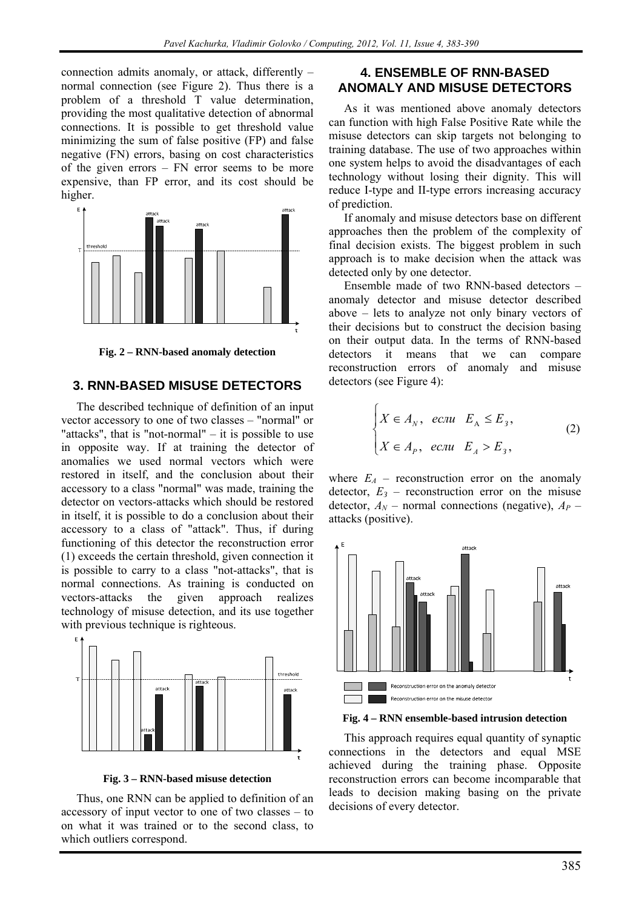connection admits anomaly, or attack, differently – normal connection (see Figure 2). Thus there is a problem of a threshold T value determination, providing the most qualitative detection of abnormal connections. It is possible to get threshold value minimizing the sum of false positive (FP) and false negative (FN) errors, basing on cost characteristics of the given errors – FN error seems to be more expensive, than FP error, and its cost should be higher.



**Fig. 2 – RNN-based anomaly detection** 

#### **3. RNN-BASED MISUSE DETECTORS**

The described technique of definition of an input vector accessory to one of two classes – "normal" or "attacks", that is "not-normal"  $-$  it is possible to use in opposite way. If at training the detector of anomalies we used normal vectors which were restored in itself, and the conclusion about their accessory to a class "normal" was made, training the detector on vectors-attacks which should be restored in itself, it is possible to do a conclusion about their accessory to a class of "attack". Thus, if during functioning of this detector the reconstruction error (1) exceeds the certain threshold, given connection it is possible to carry to a class "not-attacks", that is normal connections. As training is conducted on vectors-attacks the given approach realizes technology of misuse detection, and its use together with previous technique is righteous.



**Fig. 3 – RNN-based misuse detection** 

Thus, one RNN can be applied to definition of an accessory of input vector to one of two classes – to on what it was trained or to the second class, to which outliers correspond.

### **4. ENSEMBLE OF RNN-BASED ANOMALY AND MISUSE DETECTORS**

As it was mentioned above anomaly detectors can function with high False Positive Rate while the misuse detectors can skip targets not belonging to training database. The use of two approaches within one system helps to avoid the disadvantages of each technology without losing their dignity. This will reduce I-type and II-type errors increasing accuracy of prediction.

If anomaly and misuse detectors base on different approaches then the problem of the complexity of final decision exists. The biggest problem in such approach is to make decision when the attack was detected only by one detector.

Ensemble made of two RNN-based detectors – anomaly detector and misuse detector described above – lets to analyze not only binary vectors of their decisions but to construct the decision basing on their output data. In the terms of RNN-based detectors it means that we can compare reconstruction errors of anomaly and misuse detectors (see Figure 4):

$$
\begin{cases}\nX \in A_N, & e\text{ in } E_A \le E_3, \\
X \in A_P, & e\text{ in } E_A > E_3,\n\end{cases}
$$
\n(2)

where  $E_A$  – reconstruction error on the anomaly detector,  $E_3$  – reconstruction error on the misuse detector,  $A_N$  – normal connections (negative),  $A_P$  – attacks (positive).



**Fig. 4 – RNN ensemble-based intrusion detection** 

This approach requires equal quantity of synaptic connections in the detectors and equal MSE achieved during the training phase. Opposite reconstruction errors can become incomparable that leads to decision making basing on the private decisions of every detector.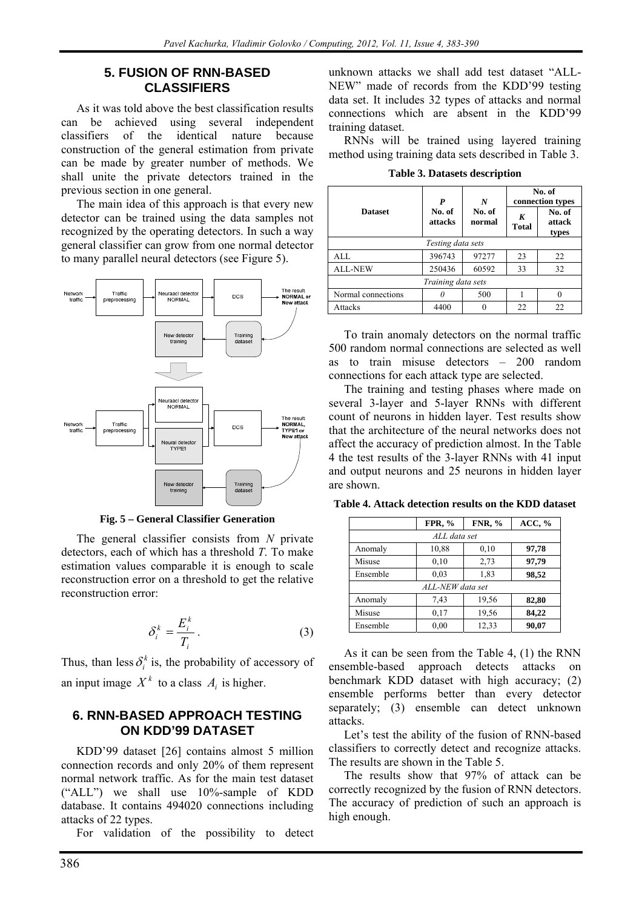#### **5. FUSION OF RNN-BASED CLASSIFIERS**

As it was told above the best classification results can be achieved using several independent classifiers of the identical nature because construction of the general estimation from private can be made by greater number of methods. We shall unite the private detectors trained in the previous section in one general.

The main idea of this approach is that every new detector can be trained using the data samples not recognized by the operating detectors. In such a way general classifier can grow from one normal detector to many parallel neural detectors (see Figure 5).



**Fig. 5 – General Classifier Generation** 

The general classifier consists from *N* private detectors, each of which has a threshold *T*. To make estimation values comparable it is enough to scale reconstruction error on a threshold to get the relative reconstruction error:

$$
\delta_i^k = \frac{E_i^k}{T_i} \,. \tag{3}
$$

Thus, than less  $\delta_i^k$  is, the probability of accessory of an input image  $X^k$  to a class  $A_i$  is higher.

### **6. RNN-BASED APPROACH TESTING ON KDD'99 DATASET**

KDD'99 dataset [26] contains almost 5 million connection records and only 20% of them represent normal network traffic. As for the main test dataset ("ALL") we shall use 10%-sample of KDD database. It contains 494020 connections including attacks of 22 types.

For validation of the possibility to detect

unknown attacks we shall add test dataset "ALL-NEW" made of records from the KDD'99 testing data set. It includes 32 types of attacks and normal connections which are absent in the KDD'99 training dataset.

RNNs will be trained using layered training method using training data sets described in Table 3.

|                    | P                 | N                | No. of<br>connection types |                           |  |  |  |
|--------------------|-------------------|------------------|----------------------------|---------------------------|--|--|--|
| <b>Dataset</b>     | No. of<br>attacks | No. of<br>normal | K<br><b>Total</b>          | No. of<br>attack<br>types |  |  |  |
|                    | Testing data sets |                  |                            |                           |  |  |  |
| AI.                | 396743            | 97277            | 23                         | 22                        |  |  |  |
| <b>ALL-NEW</b>     | 250436            | 60592            | 33                         | 32                        |  |  |  |
| Training data sets |                   |                  |                            |                           |  |  |  |
| Normal connections |                   | 500              |                            |                           |  |  |  |
| Attacks            | 4400              |                  | 22                         | 22.                       |  |  |  |

**Table 3. Datasets description** 

To train anomaly detectors on the normal traffic 500 random normal connections are selected as well as to train misuse detectors – 200 random connections for each attack type are selected.

The training and testing phases where made on several 3-layer and 5-layer RNNs with different count of neurons in hidden layer. Test results show that the architecture of the neural networks does not affect the accuracy of prediction almost. In the Table 4 the test results of the 3-layer RNNs with 41 input and output neurons and 25 neurons in hidden layer are shown.

**Table 4. Attack detection results on the KDD dataset** 

|                  | FPR, %       | <b>FNR, %</b> | ACC, % |  |  |
|------------------|--------------|---------------|--------|--|--|
|                  | ALL data set |               |        |  |  |
| Anomaly          | 10,88        | 0,10          | 97,78  |  |  |
| Misuse           | 0,10         | 2,73          | 97,79  |  |  |
| Ensemble         | 0.03         | 1,83          | 98,52  |  |  |
| ALL-NEW data set |              |               |        |  |  |
| Anomaly          | 7.43         | 19,56         | 82,80  |  |  |
| Misuse           | 0,17         | 19,56         | 84,22  |  |  |
| Ensemble         | 0.00         | 12,33         | 90,07  |  |  |

As it can be seen from the Table 4, (1) the RNN ensemble-based approach detects attacks on benchmark KDD dataset with high accuracy; (2) ensemble performs better than every detector separately; (3) ensemble can detect unknown attacks.

Let's test the ability of the fusion of RNN-based classifiers to correctly detect and recognize attacks. The results are shown in the Table 5.

The results show that 97% of attack can be correctly recognized by the fusion of RNN detectors. The accuracy of prediction of such an approach is high enough.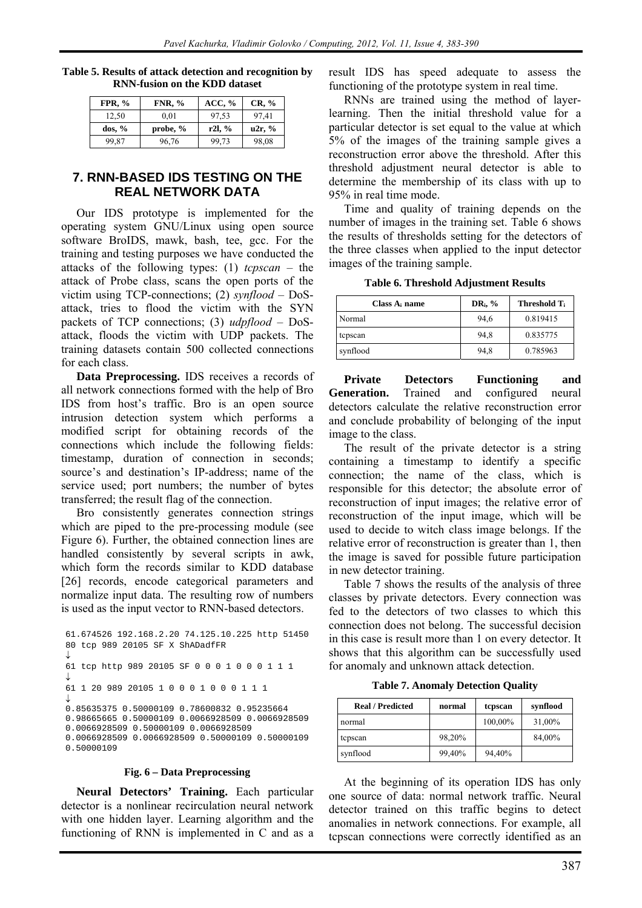| Table 5. Results of attack detection and recognition by |  |
|---------------------------------------------------------|--|
| <b>RNN-fusion on the KDD dataset</b>                    |  |

| FPR, $%$   | <b>FNR, %</b> | ACC, % | $CR, \%$ |
|------------|---------------|--------|----------|
| 12.50      | 0.01          | 97.53  | 97.41    |
| $\cos, \%$ | probe, $%$    | r2l, % | u2r, %   |
| 99.87      | 96,76         | 99.73  | 98,08    |

#### **7. RNN-BASED IDS TESTING ON THE REAL NETWORK DATA**

Our IDS prototype is implemented for the operating system GNU/Linux using open source software BroIDS, mawk, bash, tee, gcc. For the training and testing purposes we have conducted the attacks of the following types: (1) *tcpscan* – the attack of Probe class, scans the open ports of the victim using TCP-connections; (2) *synflood* – DoSattack, tries to flood the victim with the SYN packets of TCP connections; (3) *udpflood –* DoSattack, floods the victim with UDP packets. The training datasets contain 500 collected connections for each class.

**Data Preprocessing.** IDS receives a records of all network connections formed with the help of Bro IDS from host's traffic. Bro is an open source intrusion detection system which performs a modified script for obtaining records of the connections which include the following fields: timestamp, duration of connection in seconds; source's and destination's IP-address; name of the service used; port numbers; the number of bytes transferred; the result flag of the connection.

Bro consistently generates connection strings which are piped to the pre-processing module (see Figure 6). Further, the obtained connection lines are handled consistently by several scripts in awk, which form the records similar to KDD database [26] records, encode categorical parameters and normalize input data. The resulting row of numbers is used as the input vector to RNN-based detectors.

```
61.674526 192.168.2.20 74.125.10.225 http 51450 
80 tcp 989 20105 SF X ShADadfFR 
↓
61 tcp http 989 20105 SF 0 0 0 1 0 0 0 1 1 1 
↓
61 1 20 989 20105 1 0 0 0 1 0 0 0 1 1 1 
↓
0.85635375 0.50000109 0.78600832 0.95235664 
0.98665665 0.50000109 0.0066928509 0.0066928509 
0.0066928509 0.50000109 0.0066928509 
0.0066928509 0.0066928509 0.50000109 0.50000109 
0.50000109
```
#### **Fig. 6 – Data Preprocessing**

**Neural Detectors' Training.** Each particular detector is a nonlinear recirculation neural network with one hidden layer. Learning algorithm and the functioning of RNN is implemented in C and as a

result IDS has speed adequate to assess the functioning of the prototype system in real time.

RNNs are trained using the method of layerlearning. Then the initial threshold value for a particular detector is set equal to the value at which 5% of the images of the training sample gives a reconstruction error above the threshold. After this threshold adjustment neural detector is able to determine the membership of its class with up to 95% in real time mode.

Time and quality of training depends on the number of images in the training set. Table 6 shows the results of thresholds setting for the detectors of the three classes when applied to the input detector images of the training sample.

**Table 6. Threshold Adjustment Results** 

| Class $A_i$ name | $DR_i$ , % | Threshold T <sub>i</sub> |  |
|------------------|------------|--------------------------|--|
| Normal           | 94.6       | 0.819415                 |  |
| tepsean          | 94.8       | 0.835775                 |  |
| synflood         | 94,8       | 0.785963                 |  |

**Private Detectors Functioning and Generation.** Trained and configured neural detectors calculate the relative reconstruction error and conclude probability of belonging of the input image to the class.

The result of the private detector is a string containing a timestamp to identify a specific connection; the name of the class, which is responsible for this detector; the absolute error of reconstruction of input images; the relative error of reconstruction of the input image, which will be used to decide to witch class image belongs. If the relative error of reconstruction is greater than 1, then the image is saved for possible future participation in new detector training.

Table 7 shows the results of the analysis of three classes by private detectors. Every connection was fed to the detectors of two classes to which this connection does not belong. The successful decision in this case is result more than 1 on every detector. It shows that this algorithm can be successfully used for anomaly and unknown attack detection.

**Table 7. Anomaly Detection Quality** 

| <b>Real / Predicted</b> | normal | tepsean | synflood |
|-------------------------|--------|---------|----------|
| normal                  |        | 100,00% | 31,00%   |
| tepsean                 | 98,20% |         | 84,00%   |
| synflood                | 99,40% | 94,40%  |          |

At the beginning of its operation IDS has only one source of data: normal network traffic. Neural detector trained on this traffic begins to detect anomalies in network connections. For example, all tcpscan connections were correctly identified as an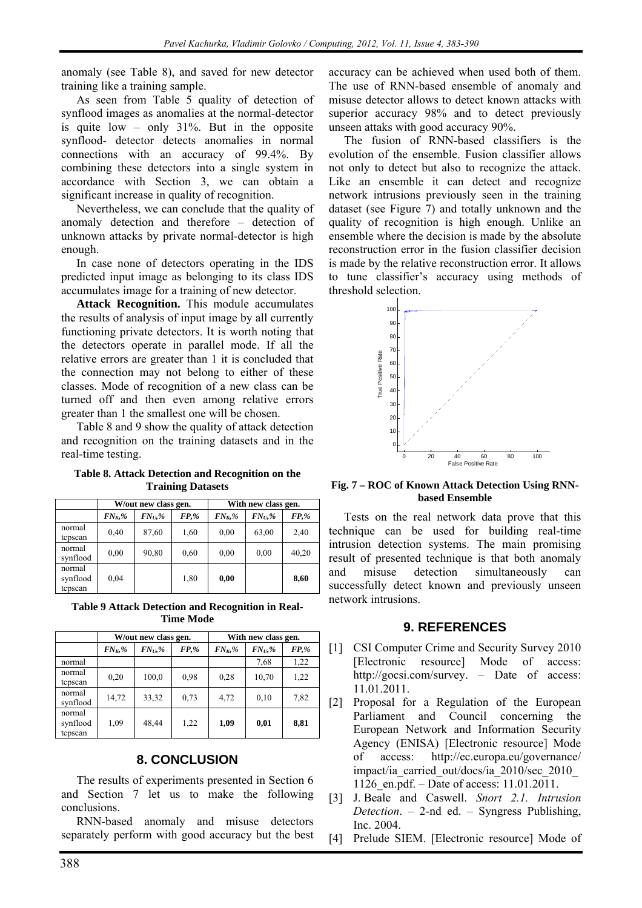anomaly (see Table 8), and saved for new detector training like a training sample.

As seen from Table 5 quality of detection of synflood images as anomalies at the normal-detector is quite low – only 31%. But in the opposite synflood- detector detects anomalies in normal connections with an accuracy of 99.4%. By combining these detectors into a single system in accordance with Section 3, we can obtain a significant increase in quality of recognition.

Nevertheless, we can conclude that the quality of anomaly detection and therefore – detection of unknown attacks by private normal-detector is high enough.

In case none of detectors operating in the IDS predicted input image as belonging to its class IDS accumulates image for a training of new detector.

**Attack Recognition.** This module accumulates the results of analysis of input image by all currently functioning private detectors. It is worth noting that the detectors operate in parallel mode. If all the relative errors are greater than 1 it is concluded that the connection may not belong to either of these classes. Mode of recognition of a new class can be turned off and then even among relative errors greater than 1 the smallest one will be chosen.

Table 8 and 9 show the quality of attack detection and recognition on the training datasets and in the real-time testing.

**Table 8. Attack Detection and Recognition on the Training Datasets** 

|                               | W/out new class gen. |            |          | With new class gen. |            |       |
|-------------------------------|----------------------|------------|----------|---------------------|------------|-------|
|                               | $FN_{K}$ %           | $FN_{U}$ % | $FP, \%$ | $FN_{K}$ %          | $FN_{U}$ % | FP,%  |
| normal<br>tepsean             | 0,40                 | 87,60      | 1,60     | 0,00                | 63,00      | 2,40  |
| normal<br>synflood            | 0.00                 | 90,80      | 0.60     | 0,00                | 0,00       | 40,20 |
| normal<br>synflood<br>tepsean | 0.04                 |            | 1,80     | 0,00                |            | 8,60  |

**Table 9 Attack Detection and Recognition in Real-Time Mode** 

|                               | W/out new class gen. |            | With new class gen. |            |            |             |
|-------------------------------|----------------------|------------|---------------------|------------|------------|-------------|
|                               | $FN_K$ %             | $FN_U, \%$ | $FP, \%$            | $FN_{K}$ % | $FN_U, \%$ | <b>FP,%</b> |
| normal                        |                      |            |                     |            | 7.68       | 1,22        |
| normal<br>tepsean             | 0,20                 | 100,0      | 0.98                | 0,28       | 10,70      | 1,22        |
| normal<br>synflood            | 14,72                | 33,32      | 0.73                | 4,72       | 0,10       | 7,82        |
| normal<br>synflood<br>tepsean | 1,09                 | 48,44      | 1,22                | 1,09       | 0,01       | 8,81        |

#### **8. CONCLUSION**

The results of experiments presented in Section 6 and Section 7 let us to make the following conclusions.

RNN-based anomaly and misuse detectors separately perform with good accuracy but the best

accuracy can be achieved when used both of them. The use of RNN-based ensemble of anomaly and misuse detector allows to detect known attacks with superior accuracy 98% and to detect previously unseen attaks with good accuracy 90%.

The fusion of RNN-based classifiers is the evolution of the ensemble. Fusion classifier allows not only to detect but also to recognize the attack. Like an ensemble it can detect and recognize network intrusions previously seen in the training dataset (see Figure 7) and totally unknown and the quality of recognition is high enough. Unlike an ensemble where the decision is made by the absolute reconstruction error in the fusion classifier decision is made by the relative reconstruction error. It allows to tune classifier's accuracy using methods of threshold selection.



**Fig. 7 – ROC of Known Attack Detection Using RNNbased Ensemble** 

Tests on the real network data prove that this technique can be used for building real-time intrusion detection systems. The main promising result of presented technique is that both anomaly and misuse detection simultaneously can successfully detect known and previously unseen network intrusions.

#### **9. REFERENCES**

- [1] CSI Computer Crime and Security Survey 2010 [Electronic resource] Mode of access: http://gocsi.com/survey. – Date of access: 11.01.2011.
- [2] Proposal for a Regulation of the European Parliament and Council concerning the European Network and Information Security Agency (ENISA) [Electronic resource] Mode of access: http://ec.europa.eu/governance/ impact/ia\_carried\_out/docs/ia\_2010/sec\_2010\_ 1126 en.pdf. – Date of access: 11.01.2011.
- [3] J. Beale and Caswell. *Snort 2.1. Intrusion Detection*. – 2-nd ed. – Syngress Publishing, Inc. 2004.
- [4] Prelude SIEM. [Electronic resource] Mode of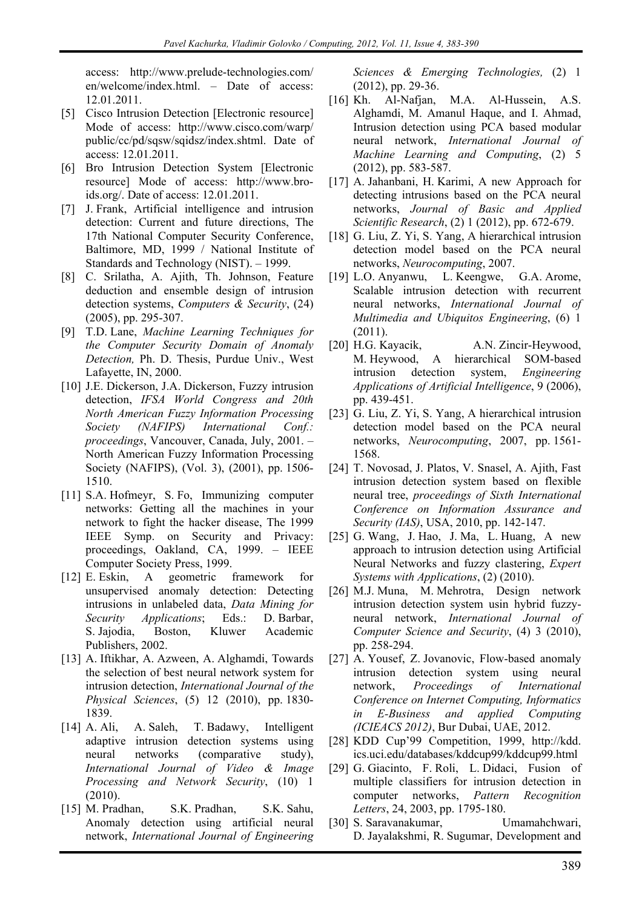access: http://www.prelude-technologies.com/ en/welcome/index.html. – Date of access: 12.01.2011.

- [5] Cisco Intrusion Detection [Electronic resource] Mode of access: http://www.cisco.com/warp/ public/cc/pd/sqsw/sqidsz/index.shtml. Date of access: 12.01.2011.
- [6] Bro Intrusion Detection System [Electronic resource] Mode of access: http://www.broids.org/. Date of access: 12.01.2011.
- [7] J. Frank, Artificial intelligence and intrusion detection: Current and future directions, The 17th National Computer Security Conference, Baltimore, MD, 1999 / National Institute of Standards and Technology (NIST). – 1999.
- [8] C. Srilatha, A. Ajith, Th. Johnson, Feature deduction and ensemble design of intrusion detection systems, *Computers & Security*, (24) (2005), pp. 295-307.
- [9] T.D. Lane, *Machine Learning Techniques for the Computer Security Domain of Anomaly Detection,* Ph. D. Thesis, Purdue Univ., West Lafayette, IN, 2000.
- [10] J.E. Dickerson, J.A. Dickerson, Fuzzy intrusion detection, *IFSA World Congress and 20th North American Fuzzy Information Processing Society (NAFIPS) International Conf.: proceedings*, Vancouver, Canada, July, 2001. – North American Fuzzy Information Processing Society (NAFIPS), (Vol. 3), (2001), pp. 1506- 1510.
- [11] S.A. Hofmeyr, S. Fo, Immunizing computer networks: Getting all the machines in your network to fight the hacker disease, The 1999 IEEE Symp. on Security and Privacy: proceedings, Oakland, CA, 1999. – IEEE Computer Society Press, 1999.
- [12] E. Eskin, A geometric framework for unsupervised anomaly detection: Detecting intrusions in unlabeled data, *Data Mining for Security Applications*; Eds.: D. Barbar, S. Jajodia, Boston, Kluwer Academic Publishers, 2002.
- [13] A. Iftikhar, A. Azween, A. Alghamdi, Towards the selection of best neural network system for intrusion detection, *International Journal of the Physical Sciences*, (5) 12 (2010), pp. 1830- 1839.
- [14] A. Ali, A. Saleh, T. Badawy, Intelligent adaptive intrusion detection systems using neural networks (comparative study), *International Journal of Video & Image Processing and Network Security*, (10) 1 (2010).
- [15] M. Pradhan, S.K. Pradhan, S.K. Sahu, Anomaly detection using artificial neural network, *International Journal of Engineering*

*Sciences & Emerging Technologies,* (2) 1 (2012), pp. 29-36.

- [16] Kh. Al-Nafjan, M.A. Al-Hussein, A.S. Alghamdi, M. Amanul Haque, and I. Ahmad, Intrusion detection using PCA based modular neural network, *International Journal of Machine Learning and Computing*, (2) 5 (2012), pp. 583-587.
- [17] A. Jahanbani, H. Karimi, A new Approach for detecting intrusions based on the PCA neural networks, *Journal of Basic and Applied Scientific Research*, (2) 1 (2012), pp. 672-679.
- [18] G. Liu, Z. Yi, S. Yang, A hierarchical intrusion detection model based on the PCA neural networks, *Neurocomputing*, 2007.
- [19] L.O. Anyanwu, L. Keengwe, G.A. Arome, Scalable intrusion detection with recurrent neural networks, *International Journal of Multimedia and Ubiquitos Engineering*, (6) 1 (2011).
- [20] H.G. Kayacik, A.N. Zincir-Heywood, M. Heywood, A hierarchical SOM-based intrusion detection system, *Engineering Applications of Artificial Intelligence*, 9 (2006), pp. 439-451.
- [23] G. Liu, Z. Yi, S. Yang, A hierarchical intrusion detection model based on the PCA neural networks, *Neurocomputing*, 2007, pp. 1561- 1568.
- [24] T. Novosad, J. Platos, V. Snasel, A. Ajith, Fast intrusion detection system based on flexible neural tree, *proceedings of Sixth International Conference on Information Assurance and Security (IAS)*, USA, 2010, pp. 142-147.
- [25] G. Wang, J. Hao, J. Ma, L. Huang, A new approach to intrusion detection using Artificial Neural Networks and fuzzy clastering, *Expert Systems with Applications*, (2) (2010).
- [26] M.J. Muna, M. Mehrotra, Design network intrusion detection system usin hybrid fuzzyneural network, *International Journal of Computer Science and Security*, (4) 3 (2010), pp. 258-294.
- [27] A. Yousef, Z. Jovanovic, Flow-based anomaly intrusion detection system using neural network, *Proceedings of International Conference on Internet Computing, Informatics in E-Business and applied Computing (ICIEACS 2012)*, Bur Dubai, UAE, 2012.
- [28] KDD Cup'99 Competition, 1999, http://kdd. ics.uci.edu/databases/kddcup99/kddcup99.html
- [29] G. Giacinto, F. Roli, L. Didaci, Fusion of multiple classifiers for intrusion detection in computer networks, *Pattern Recognition Letters*, 24, 2003, pp. 1795-180.
- [30] S. Saravanakumar, Umamahchwari, D. Jayalakshmi, R. Sugumar, Development and